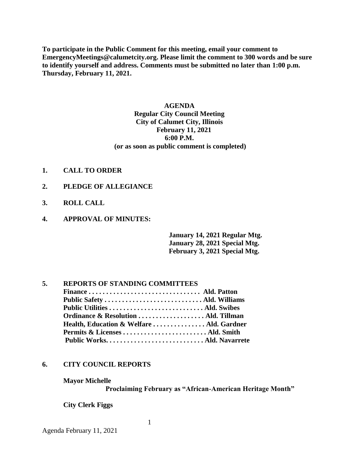**To participate in the Public Comment for this meeting, email your comment to EmergencyMeetings@calumetcity.org. Please limit the comment to 300 words and be sure to identify yourself and address. Comments must be submitted no later than 1:00 p.m. Thursday, February 11, 2021.**

## **AGENDA Regular City Council Meeting City of Calumet City, Illinois February 11, 2021 6:00 P.M. (or as soon as public comment is completed)**

- **1. CALL TO ORDER**
- **2. PLEDGE OF ALLEGIANCE**
- **3. ROLL CALL**
- **4. APPROVAL OF MINUTES:**

**January 14, 2021 Regular Mtg. January 28, 2021 Special Mtg. February 3, 2021 Special Mtg.** 

# **5. REPORTS OF STANDING COMMITTEES**

| Ordinance & Resolution  Ald. Tillman    |  |
|-----------------------------------------|--|
| Health, Education & WelfareAld. Gardner |  |
|                                         |  |
|                                         |  |
|                                         |  |

1

### **6. CITY COUNCIL REPORTS**

**Mayor Michelle**

**Proclaiming February as "African-American Heritage Month"**

**City Clerk Figgs**

Agenda February 11, 2021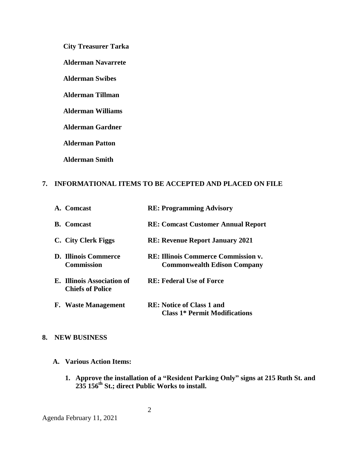**City Treasurer Tarka**

**Alderman Navarrete**

**Alderman Swibes**

**Alderman Tillman**

**Alderman Williams**

**Alderman Gardner**

**Alderman Patton**

**Alderman Smith**

# **7. INFORMATIONAL ITEMS TO BE ACCEPTED AND PLACED ON FILE**

| A. Comcast                                            | <b>RE: Programming Advisory</b>                                                  |
|-------------------------------------------------------|----------------------------------------------------------------------------------|
| <b>B.</b> Comcast                                     | <b>RE: Comcast Customer Annual Report</b>                                        |
| C. City Clerk Figgs                                   | <b>RE: Revenue Report January 2021</b>                                           |
| <b>D. Illinois Commerce</b><br><b>Commission</b>      | <b>RE: Illinois Commerce Commission v.</b><br><b>Commonwealth Edison Company</b> |
| E. Illinois Association of<br><b>Chiefs of Police</b> | <b>RE: Federal Use of Force</b>                                                  |
| <b>F.</b> Waste Management                            | <b>RE:</b> Notice of Class 1 and<br><b>Class 1* Permit Modifications</b>         |

## **8. NEW BUSINESS**

- **A. Various Action Items:**
	- **1. Approve the installation of a "Resident Parking Only" signs at 215 Ruth St. and 235 156th St.; direct Public Works to install.**

Agenda February 11, 2021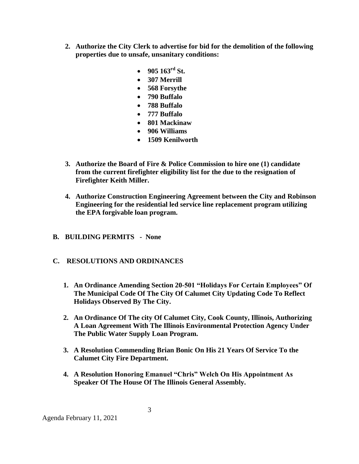- **2. Authorize the City Clerk to advertise for bid for the demolition of the following properties due to unsafe, unsanitary conditions:** 
	- $\bullet$  905 163<sup>rd</sup> St.
	- **307 Merrill**
	- **568 Forsythe**
	- **790 Buffalo**
	- **788 Buffalo**
	- **777 Buffalo**
	- **801 Mackinaw**
	- **906 Williams**
	- **1509 Kenilworth**
- **3. Authorize the Board of Fire & Police Commission to hire one (1) candidate from the current firefighter eligibility list for the due to the resignation of Firefighter Keith Miller.**
- **4. Authorize Construction Engineering Agreement between the City and Robinson Engineering for the residential led service line replacement program utilizing the EPA forgivable loan program.**
- **B. BUILDING PERMITS - None**
- **C. RESOLUTIONS AND ORDINANCES**
	- **1. An Ordinance Amending Section 20-501 "Holidays For Certain Employees" Of The Municipal Code Of The City Of Calumet City Updating Code To Reflect Holidays Observed By The City.**
	- **2. An Ordinance Of The city Of Calumet City, Cook County, Illinois, Authorizing A Loan Agreement With The Illinois Environmental Protection Agency Under The Public Water Supply Loan Program.**
	- **3. A Resolution Commending Brian Bonic On His 21 Years Of Service To the Calumet City Fire Department.**
	- **4. A Resolution Honoring Emanuel "Chris" Welch On His Appointment As Speaker Of The House Of The Illinois General Assembly.**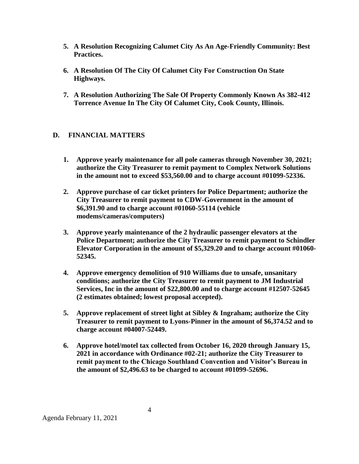- **5. A Resolution Recognizing Calumet City As An Age-Friendly Community: Best Practices.**
- **6. A Resolution Of The City Of Calumet City For Construction On State Highways.**
- **7. A Resolution Authorizing The Sale Of Property Commonly Known As 382-412 Torrence Avenue In The City Of Calumet City, Cook County, Illinois.**

# **D. FINANCIAL MATTERS**

- **1. Approve yearly maintenance for all pole cameras through November 30, 2021; authorize the City Treasurer to remit payment to Complex Network Solutions in the amount not to exceed \$53,560.00 and to charge account #01099-52336.**
- **2. Approve purchase of car ticket printers for Police Department; authorize the City Treasurer to remit payment to CDW-Government in the amount of \$6,391.90 and to charge account #01060-55114 (vehicle modems/cameras/computers)**
- **3. Approve yearly maintenance of the 2 hydraulic passenger elevators at the Police Department; authorize the City Treasurer to remit payment to Schindler Elevator Corporation in the amount of \$5,329.20 and to charge account #01060- 52345.**
- **4. Approve emergency demolition of 910 Williams due to unsafe, unsanitary conditions; authorize the City Treasurer to remit payment to JM Industrial Services, Inc in the amount of \$22,800.00 and to charge account #12507-52645 (2 estimates obtained; lowest proposal accepted).**
- **5. Approve replacement of street light at Sibley & Ingraham; authorize the City Treasurer to remit payment to Lyons-Pinner in the amount of \$6,374.52 and to charge account #04007-52449.**
- **6. Approve hotel/motel tax collected from October 16, 2020 through January 15, 2021 in accordance with Ordinance #02-21; authorize the City Treasurer to remit payment to the Chicago Southland Convention and Visitor's Bureau in the amount of \$2,496.63 to be charged to account #01099-52696.**